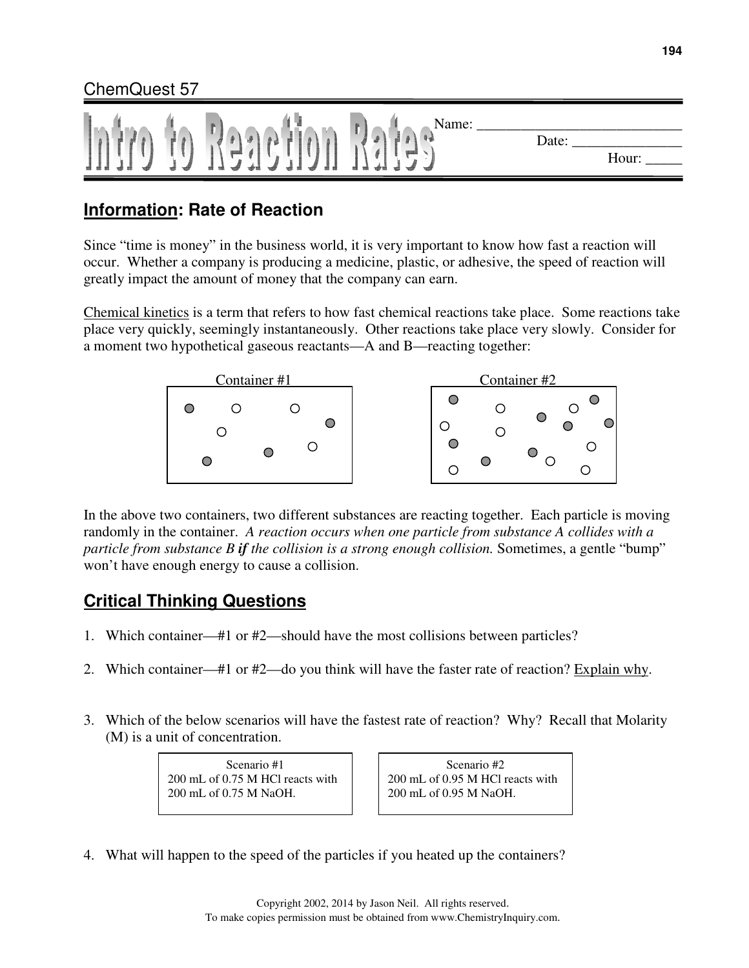

## **Information: Rate of Reaction**

Since "time is money" in the business world, it is very important to know how fast a reaction will occur. Whether a company is producing a medicine, plastic, or adhesive, the speed of reaction will greatly impact the amount of money that the company can earn.

Chemical kinetics is a term that refers to how fast chemical reactions take place. Some reactions take place very quickly, seemingly instantaneously. Other reactions take place very slowly. Consider for a moment two hypothetical gaseous reactants—A and B—reacting together:



In the above two containers, two different substances are reacting together. Each particle is moving randomly in the container. *A reaction occurs when one particle from substance A collides with a particle from substance B if the collision is a strong enough collision.* Sometimes, a gentle "bump" won't have enough energy to cause a collision.

# **Critical Thinking Questions**

- 1. Which container—#1 or #2—should have the most collisions between particles?
- 2. Which container—#1 or  $#2$ —do you think will have the faster rate of reaction? Explain why.
- 3. Which of the below scenarios will have the fastest rate of reaction? Why? Recall that Molarity (M) is a unit of concentration.

Scenario #1 200 mL of 0.75 M HCl reacts with 200 mL of 0.75 M NaOH.

Scenario #2 200 mL of 0.95 M HCl reacts with 200 mL of 0.95 M NaOH.

4. What will happen to the speed of the particles if you heated up the containers?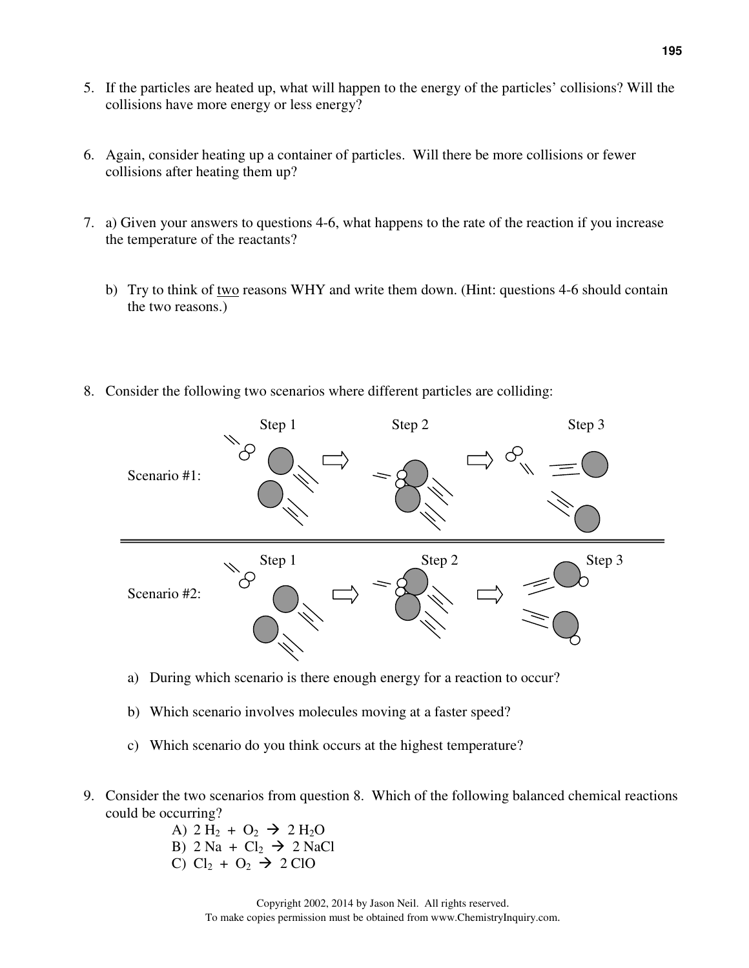- 5. If the particles are heated up, what will happen to the energy of the particles' collisions? Will the collisions have more energy or less energy?
- 6. Again, consider heating up a container of particles. Will there be more collisions or fewer collisions after heating them up?
- 7. a) Given your answers to questions 4-6, what happens to the rate of the reaction if you increase the temperature of the reactants?
	- b) Try to think of two reasons WHY and write them down. (Hint: questions 4-6 should contain the two reasons.)
- 8. Consider the following two scenarios where different particles are colliding:



- a) During which scenario is there enough energy for a reaction to occur?
- b) Which scenario involves molecules moving at a faster speed?
- c) Which scenario do you think occurs at the highest temperature?
- 9. Consider the two scenarios from question 8. Which of the following balanced chemical reactions could be occurring?
	- A)  $2 H_2 + O_2 \rightarrow 2 H_2 O$ B)  $2 \text{ Na} + \text{Cl}_2 \rightarrow 2 \text{ NaCl}$ C)  $Cl_2 + O_2 \rightarrow 2 ClO$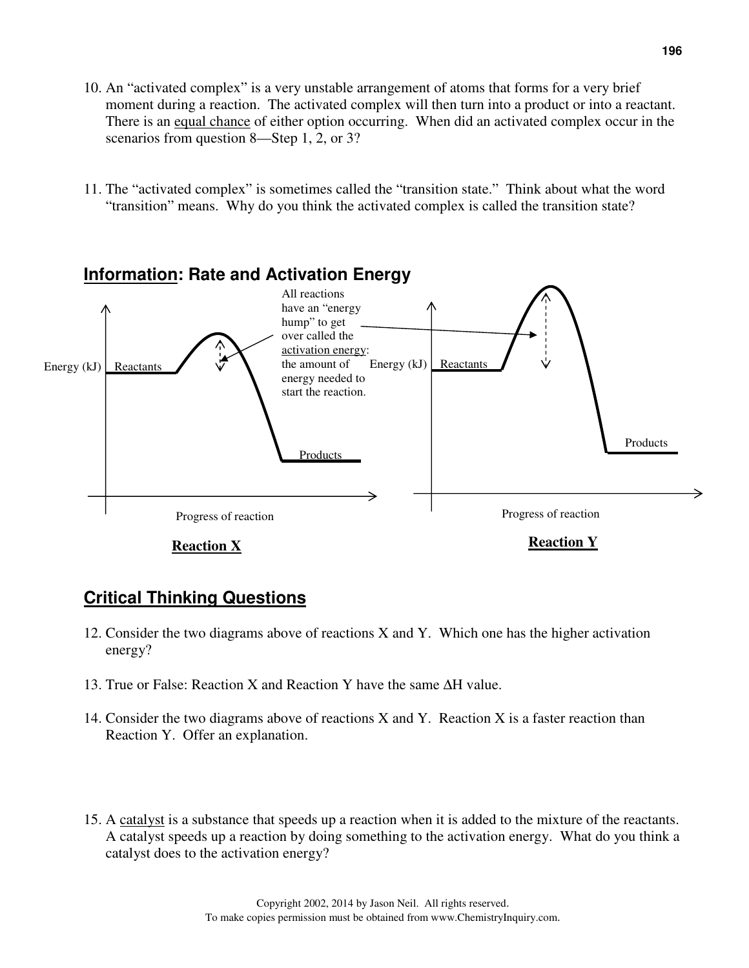- 10. An "activated complex" is a very unstable arrangement of atoms that forms for a very brief moment during a reaction. The activated complex will then turn into a product or into a reactant. There is an equal chance of either option occurring. When did an activated complex occur in the scenarios from question 8—Step 1, 2, or 3?
- 11. The "activated complex" is sometimes called the "transition state." Think about what the word "transition" means. Why do you think the activated complex is called the transition state?



#### **Critical Thinking Questions**

- 12. Consider the two diagrams above of reactions X and Y. Which one has the higher activation energy?
- 13. True or False: Reaction X and Reaction Y have the same ∆H value.
- 14. Consider the two diagrams above of reactions X and Y. Reaction X is a faster reaction than Reaction Y. Offer an explanation.
- 15. A catalyst is a substance that speeds up a reaction when it is added to the mixture of the reactants. A catalyst speeds up a reaction by doing something to the activation energy. What do you think a catalyst does to the activation energy?